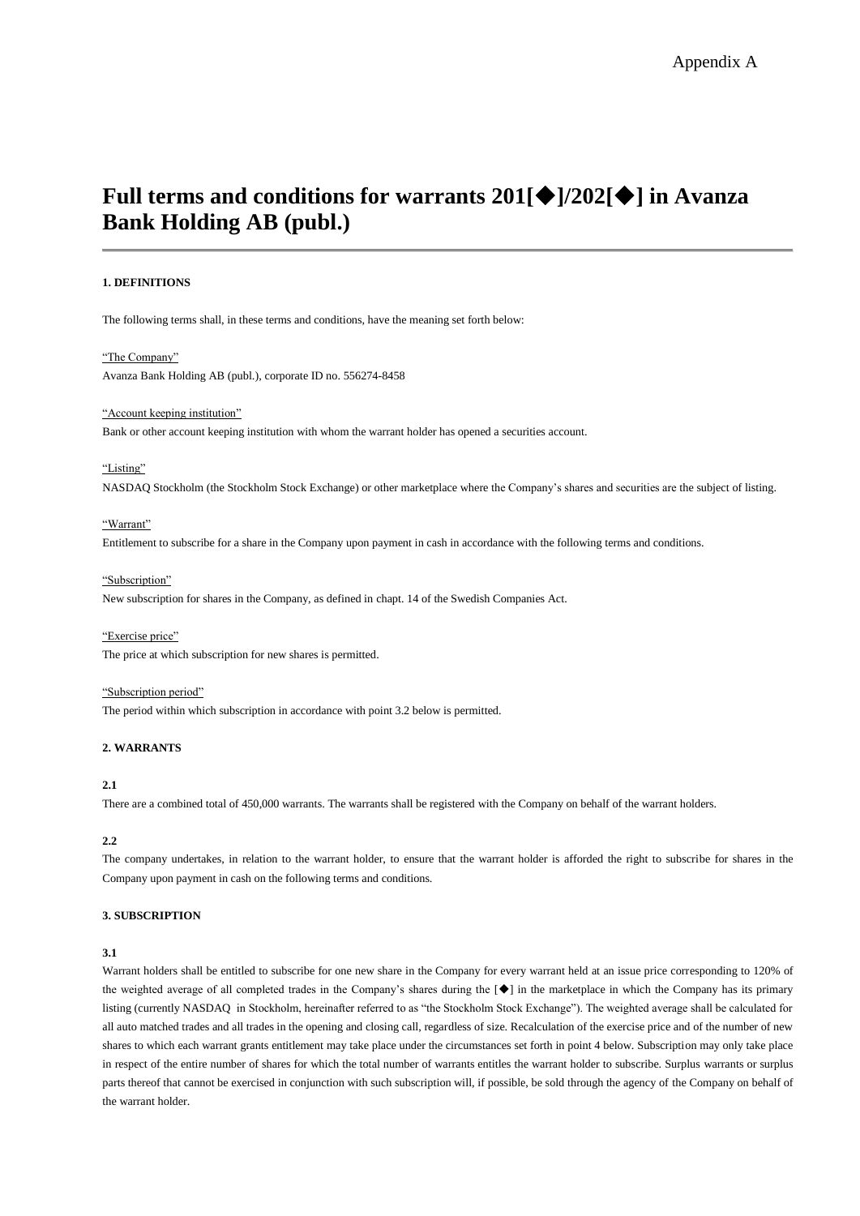# **Full terms and conditions for warrants**  $201$ **[** $\blacklozenge$ **]/202[** $\blacklozenge$ **] in Avanza Bank Holding AB (publ.)**

## **1. DEFINITIONS**

The following terms shall, in these terms and conditions, have the meaning set forth below:

#### "The Company"

Avanza Bank Holding AB (publ.), corporate ID no. 556274-8458

#### "Account keeping institution"

Bank or other account keeping institution with whom the warrant holder has opened a securities account.

# "Listing"

NASDAQ Stockholm (the Stockholm Stock Exchange) or other marketplace where the Company's shares and securities are the subject of listing.

## "Warrant"

Entitlement to subscribe for a share in the Company upon payment in cash in accordance with the following terms and conditions.

#### "Subscription"

New subscription for shares in the Company, as defined in chapt. 14 of the Swedish Companies Act.

"Exercise price" The price at which subscription for new shares is permitted.

#### "Subscription period"

The period within which subscription in accordance with point 3.2 below is permitted.

# **2. WARRANTS**

## **2.1**

There are a combined total of 450,000 warrants. The warrants shall be registered with the Company on behalf of the warrant holders.

## **2.2**

The company undertakes, in relation to the warrant holder, to ensure that the warrant holder is afforded the right to subscribe for shares in the Company upon payment in cash on the following terms and conditions.

## **3. SUBSCRIPTION**

#### **3.1**

Warrant holders shall be entitled to subscribe for one new share in the Company for every warrant held at an issue price corresponding to 120% of the weighted average of all completed trades in the Company's shares during the [ $\blacklozenge$ ] in the marketplace in which the Company has its primary listing (currently NASDAQ in Stockholm, hereinafter referred to as "the Stockholm Stock Exchange"). The weighted average shall be calculated for all auto matched trades and all trades in the opening and closing call, regardless of size. Recalculation of the exercise price and of the number of new shares to which each warrant grants entitlement may take place under the circumstances set forth in point 4 below. Subscription may only take place in respect of the entire number of shares for which the total number of warrants entitles the warrant holder to subscribe. Surplus warrants or surplus parts thereof that cannot be exercised in conjunction with such subscription will, if possible, be sold through the agency of the Company on behalf of the warrant holder.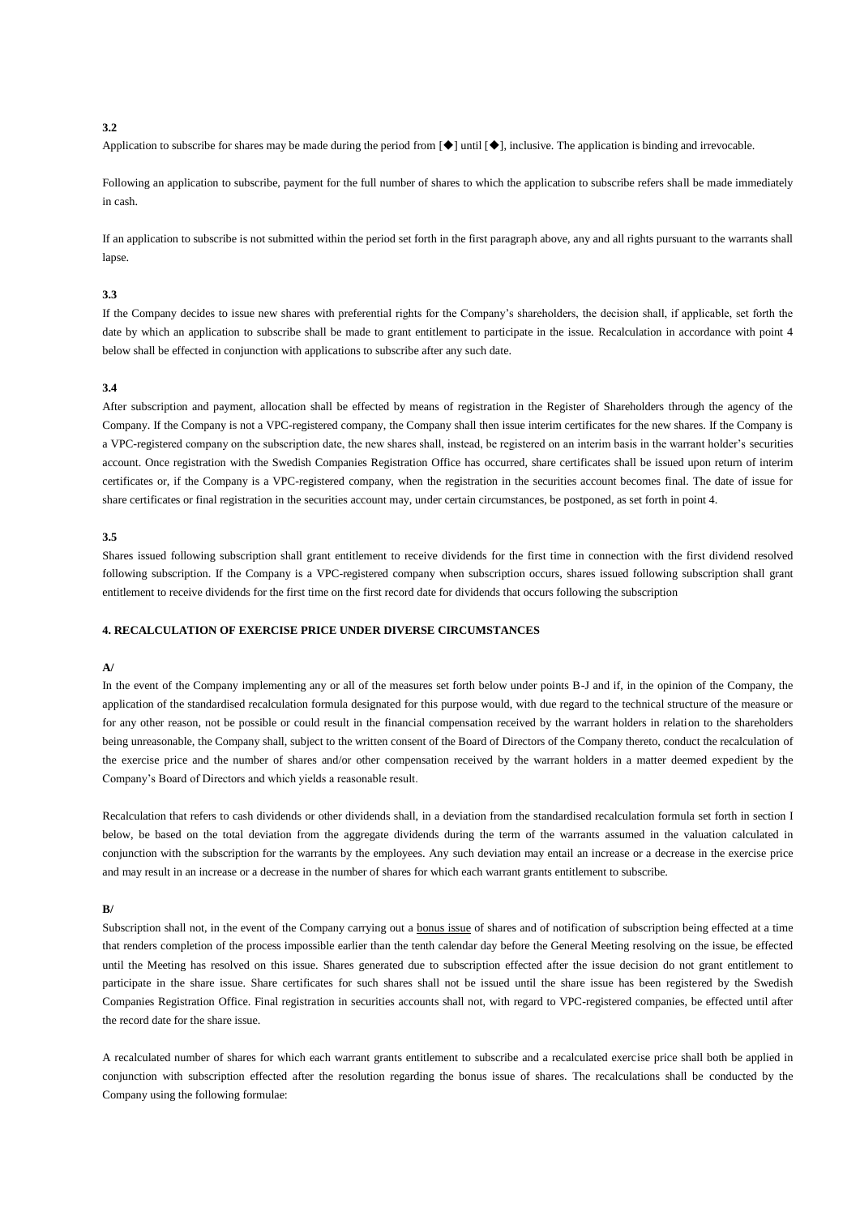#### **3.2**

Application to subscribe for shares may be made during the period from  $[\blacklozenge]$  until  $[\blacklozenge]$ , inclusive. The application is binding and irrevocable.

Following an application to subscribe, payment for the full number of shares to which the application to subscribe refers shall be made immediately in cash.

If an application to subscribe is not submitted within the period set forth in the first paragraph above, any and all rights pursuant to the warrants shall lapse.

#### **3.3**

If the Company decides to issue new shares with preferential rights for the Company's shareholders, the decision shall, if applicable, set forth the date by which an application to subscribe shall be made to grant entitlement to participate in the issue. Recalculation in accordance with point 4 below shall be effected in conjunction with applications to subscribe after any such date.

#### **3.4**

After subscription and payment, allocation shall be effected by means of registration in the Register of Shareholders through the agency of the Company. If the Company is not a VPC-registered company, the Company shall then issue interim certificates for the new shares. If the Company is a VPC-registered company on the subscription date, the new shares shall, instead, be registered on an interim basis in the warrant holder's securities account. Once registration with the Swedish Companies Registration Office has occurred, share certificates shall be issued upon return of interim certificates or, if the Company is a VPC-registered company, when the registration in the securities account becomes final. The date of issue for share certificates or final registration in the securities account may, under certain circumstances, be postponed, as set forth in point 4.

#### **3.5**

Shares issued following subscription shall grant entitlement to receive dividends for the first time in connection with the first dividend resolved following subscription. If the Company is a VPC-registered company when subscription occurs, shares issued following subscription shall grant entitlement to receive dividends for the first time on the first record date for dividends that occurs following the subscription

## **4. RECALCULATION OF EXERCISE PRICE UNDER DIVERSE CIRCUMSTANCES**

# **A/**

In the event of the Company implementing any or all of the measures set forth below under points B-J and if, in the opinion of the Company, the application of the standardised recalculation formula designated for this purpose would, with due regard to the technical structure of the measure or for any other reason, not be possible or could result in the financial compensation received by the warrant holders in relation to the shareholders being unreasonable, the Company shall, subject to the written consent of the Board of Directors of the Company thereto, conduct the recalculation of the exercise price and the number of shares and/or other compensation received by the warrant holders in a matter deemed expedient by the Company's Board of Directors and which yields a reasonable result.

Recalculation that refers to cash dividends or other dividends shall, in a deviation from the standardised recalculation formula set forth in section I below, be based on the total deviation from the aggregate dividends during the term of the warrants assumed in the valuation calculated in conjunction with the subscription for the warrants by the employees. Any such deviation may entail an increase or a decrease in the exercise price and may result in an increase or a decrease in the number of shares for which each warrant grants entitlement to subscribe.

## **B/**

Subscription shall not, in the event of the Company carrying out a bonus issue of shares and of notification of subscription being effected at a time that renders completion of the process impossible earlier than the tenth calendar day before the General Meeting resolving on the issue, be effected until the Meeting has resolved on this issue. Shares generated due to subscription effected after the issue decision do not grant entitlement to participate in the share issue. Share certificates for such shares shall not be issued until the share issue has been registered by the Swedish Companies Registration Office. Final registration in securities accounts shall not, with regard to VPC-registered companies, be effected until after the record date for the share issue.

A recalculated number of shares for which each warrant grants entitlement to subscribe and a recalculated exercise price shall both be applied in conjunction with subscription effected after the resolution regarding the bonus issue of shares. The recalculations shall be conducted by the Company using the following formulae: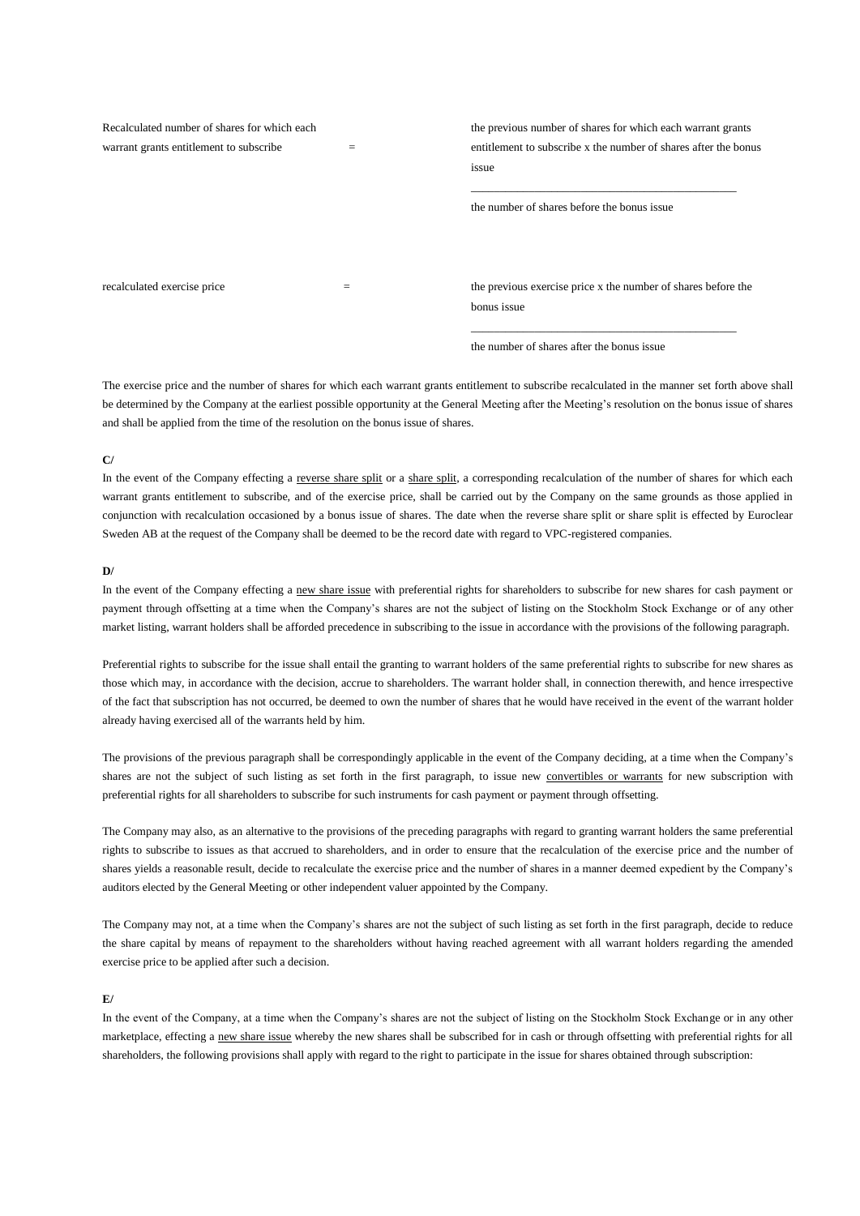| Recalculated number of shares for which each |     | the previous number of shares for which each warrant grants     |
|----------------------------------------------|-----|-----------------------------------------------------------------|
| warrant grants entitlement to subscribe      | $=$ | entitlement to subscribe x the number of shares after the bonus |
|                                              |     | issue                                                           |
|                                              |     |                                                                 |
|                                              |     | the number of shares before the bonus issue                     |
|                                              |     |                                                                 |
|                                              |     |                                                                 |
|                                              |     |                                                                 |
| recalculated exercise price                  | $=$ | the previous exercise price x the number of shares before the   |
|                                              |     | bonus issue                                                     |

the number of shares after the bonus issue

\_\_\_\_\_\_\_\_\_\_\_\_\_\_\_\_\_\_\_\_\_\_\_\_\_\_\_\_\_\_\_\_\_\_\_\_\_\_\_\_\_\_\_\_\_\_

The exercise price and the number of shares for which each warrant grants entitlement to subscribe recalculated in the manner set forth above shall be determined by the Company at the earliest possible opportunity at the General Meeting after the Meeting's resolution on the bonus issue of shares and shall be applied from the time of the resolution on the bonus issue of shares.

## **C/**

In the event of the Company effecting a reverse share split or a share split, a corresponding recalculation of the number of shares for which each warrant grants entitlement to subscribe, and of the exercise price, shall be carried out by the Company on the same grounds as those applied in conjunction with recalculation occasioned by a bonus issue of shares. The date when the reverse share split or share split is effected by Euroclear Sweden AB at the request of the Company shall be deemed to be the record date with regard to VPC-registered companies.

## **D/**

In the event of the Company effecting a new share issue with preferential rights for shareholders to subscribe for new shares for cash payment or payment through offsetting at a time when the Company's shares are not the subject of listing on the Stockholm Stock Exchange or of any other market listing, warrant holders shall be afforded precedence in subscribing to the issue in accordance with the provisions of the following paragraph.

Preferential rights to subscribe for the issue shall entail the granting to warrant holders of the same preferential rights to subscribe for new shares as those which may, in accordance with the decision, accrue to shareholders. The warrant holder shall, in connection therewith, and hence irrespective of the fact that subscription has not occurred, be deemed to own the number of shares that he would have received in the event of the warrant holder already having exercised all of the warrants held by him.

The provisions of the previous paragraph shall be correspondingly applicable in the event of the Company deciding, at a time when the Company's shares are not the subject of such listing as set forth in the first paragraph, to issue new convertibles or warrants for new subscription with preferential rights for all shareholders to subscribe for such instruments for cash payment or payment through offsetting.

The Company may also, as an alternative to the provisions of the preceding paragraphs with regard to granting warrant holders the same preferential rights to subscribe to issues as that accrued to shareholders, and in order to ensure that the recalculation of the exercise price and the number of shares yields a reasonable result, decide to recalculate the exercise price and the number of shares in a manner deemed expedient by the Company's auditors elected by the General Meeting or other independent valuer appointed by the Company.

The Company may not, at a time when the Company's shares are not the subject of such listing as set forth in the first paragraph, decide to reduce the share capital by means of repayment to the shareholders without having reached agreement with all warrant holders regarding the amended exercise price to be applied after such a decision.

# **E/**

In the event of the Company, at a time when the Company's shares are not the subject of listing on the Stockholm Stock Exchange or in any other marketplace, effecting a new share issue whereby the new shares shall be subscribed for in cash or through offsetting with preferential rights for all shareholders, the following provisions shall apply with regard to the right to participate in the issue for shares obtained through subscription: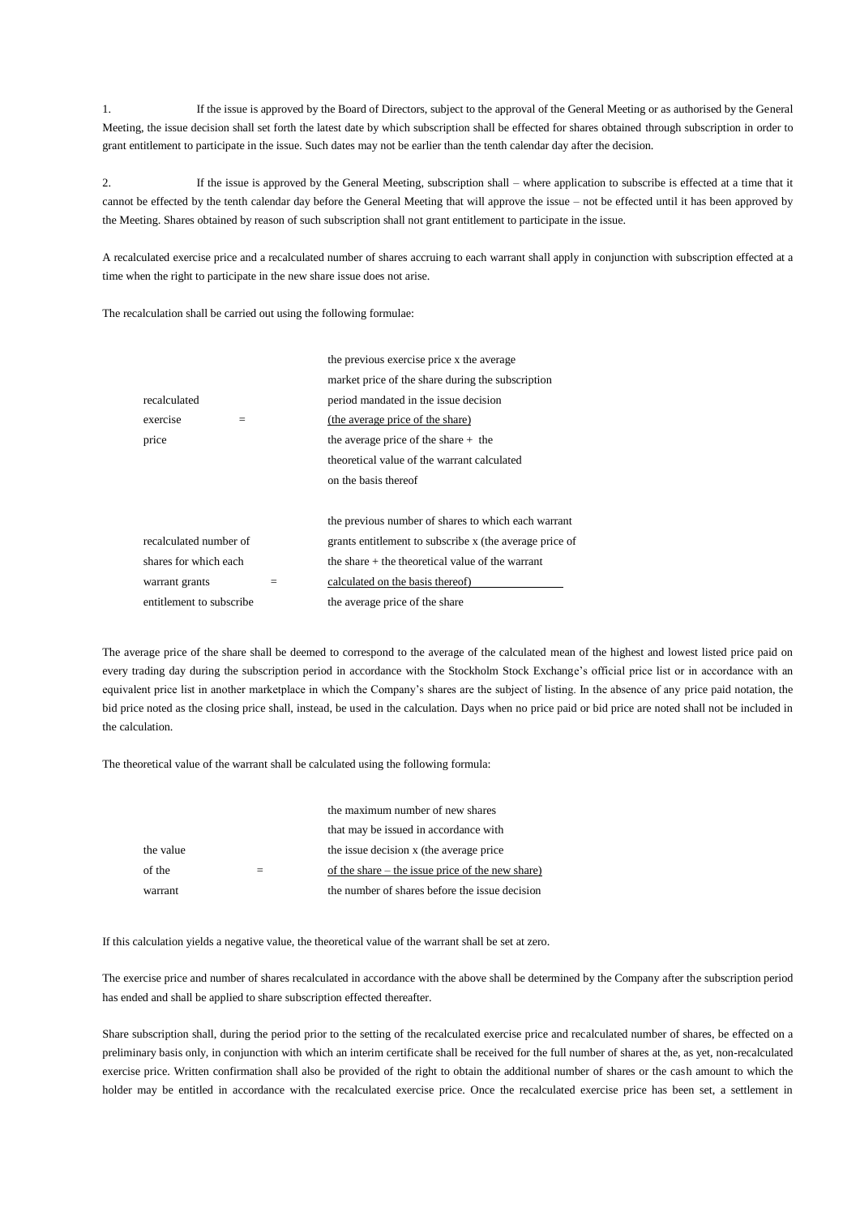1. If the issue is approved by the Board of Directors, subject to the approval of the General Meeting or as authorised by the General Meeting, the issue decision shall set forth the latest date by which subscription shall be effected for shares obtained through subscription in order to grant entitlement to participate in the issue. Such dates may not be earlier than the tenth calendar day after the decision.

2. If the issue is approved by the General Meeting, subscription shall – where application to subscribe is effected at a time that it cannot be effected by the tenth calendar day before the General Meeting that will approve the issue – not be effected until it has been approved by the Meeting. Shares obtained by reason of such subscription shall not grant entitlement to participate in the issue.

A recalculated exercise price and a recalculated number of shares accruing to each warrant shall apply in conjunction with subscription effected at a time when the right to participate in the new share issue does not arise.

The recalculation shall be carried out using the following formulae:

|                          | the previous exercise price x the average               |
|--------------------------|---------------------------------------------------------|
|                          | market price of the share during the subscription       |
| recalculated             | period mandated in the issue decision                   |
| exercise<br>$=$          | (the average price of the share)                        |
| price                    | the average price of the share $+$ the                  |
|                          | theoretical value of the warrant calculated             |
|                          | on the basis thereof                                    |
|                          | the previous number of shares to which each warrant     |
| recalculated number of   | grants entitlement to subscribe x (the average price of |
| shares for which each    | the share $+$ the theoretical value of the warrant      |
| warrant grants           | calculated on the basis thereof)                        |
| entitlement to subscribe | the average price of the share                          |

The average price of the share shall be deemed to correspond to the average of the calculated mean of the highest and lowest listed price paid on every trading day during the subscription period in accordance with the Stockholm Stock Exchange's official price list or in accordance with an equivalent price list in another marketplace in which the Company's shares are the subject of listing. In the absence of any price paid notation, the bid price noted as the closing price shall, instead, be used in the calculation. Days when no price paid or bid price are noted shall not be included in the calculation.

The theoretical value of the warrant shall be calculated using the following formula:

|           | the maximum number of new shares                 |
|-----------|--------------------------------------------------|
|           | that may be issued in accordance with            |
| the value | the issue decision x (the average price)         |
| of the    | of the share – the issue price of the new share) |
| warrant   | the number of shares before the issue decision   |

If this calculation yields a negative value, the theoretical value of the warrant shall be set at zero.

The exercise price and number of shares recalculated in accordance with the above shall be determined by the Company after the subscription period has ended and shall be applied to share subscription effected thereafter.

Share subscription shall, during the period prior to the setting of the recalculated exercise price and recalculated number of shares, be effected on a preliminary basis only, in conjunction with which an interim certificate shall be received for the full number of shares at the, as yet, non-recalculated exercise price. Written confirmation shall also be provided of the right to obtain the additional number of shares or the cash amount to which the holder may be entitled in accordance with the recalculated exercise price. Once the recalculated exercise price has been set, a settlement in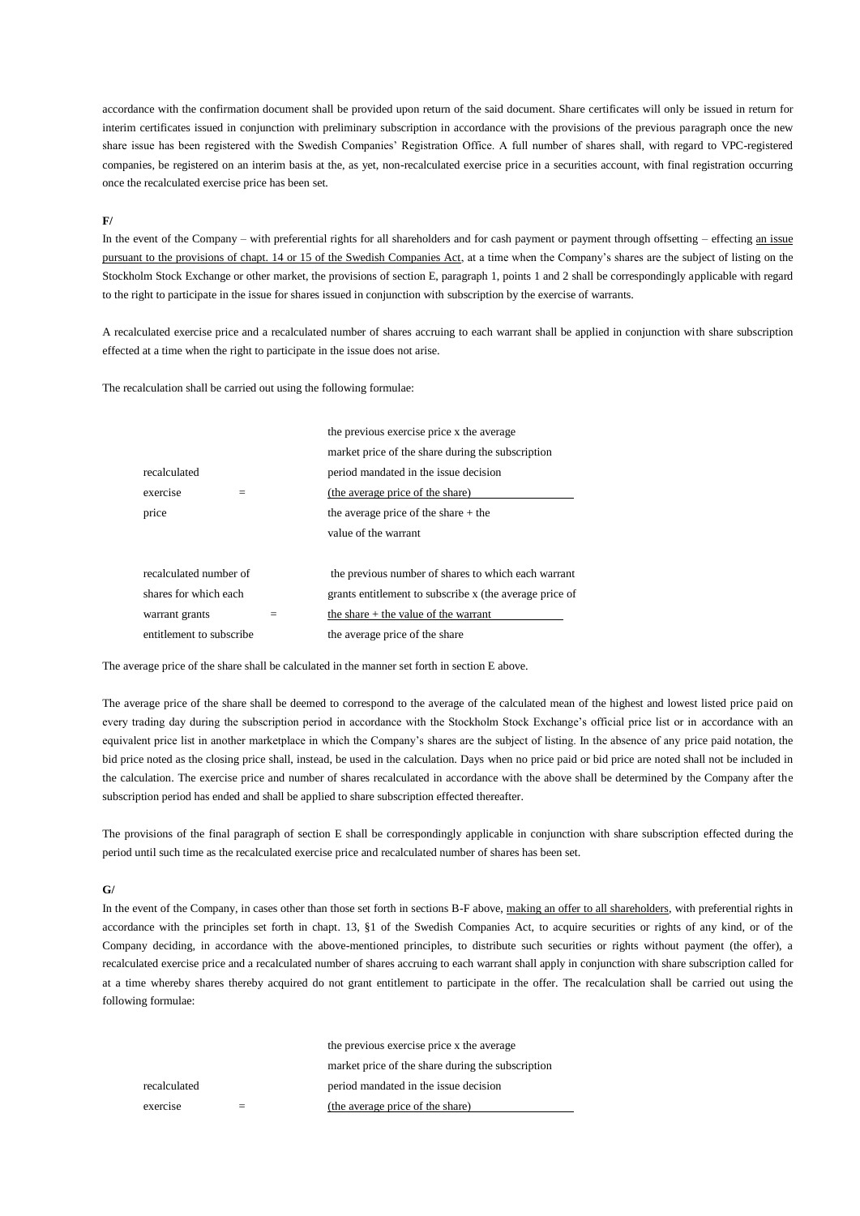accordance with the confirmation document shall be provided upon return of the said document. Share certificates will only be issued in return for interim certificates issued in conjunction with preliminary subscription in accordance with the provisions of the previous paragraph once the new share issue has been registered with the Swedish Companies' Registration Office. A full number of shares shall, with regard to VPC-registered companies, be registered on an interim basis at the, as yet, non-recalculated exercise price in a securities account, with final registration occurring once the recalculated exercise price has been set.

## **F/**

In the event of the Company – with preferential rights for all shareholders and for cash payment or payment through offsetting – effecting an issue pursuant to the provisions of chapt. 14 or 15 of the Swedish Companies Act, at a time when the Company's shares are the subject of listing on the Stockholm Stock Exchange or other market, the provisions of section E, paragraph 1, points 1 and 2 shall be correspondingly applicable with regard to the right to participate in the issue for shares issued in conjunction with subscription by the exercise of warrants.

A recalculated exercise price and a recalculated number of shares accruing to each warrant shall be applied in conjunction with share subscription effected at a time when the right to participate in the issue does not arise.

The recalculation shall be carried out using the following formulae:

|                          |     | the previous exercise price x the average               |
|--------------------------|-----|---------------------------------------------------------|
|                          |     | market price of the share during the subscription       |
| recalculated             |     | period mandated in the issue decision                   |
| exercise<br>$=$          |     | (the average price of the share)                        |
| price                    |     | the average price of the share $+$ the                  |
|                          |     | value of the warrant                                    |
| recalculated number of   |     | the previous number of shares to which each warrant     |
| shares for which each    |     | grants entitlement to subscribe x (the average price of |
| warrant grants           | $=$ | the share $+$ the value of the warrant                  |
| entitlement to subscribe |     | the average price of the share                          |

The average price of the share shall be calculated in the manner set forth in section E above.

The average price of the share shall be deemed to correspond to the average of the calculated mean of the highest and lowest listed price paid on every trading day during the subscription period in accordance with the Stockholm Stock Exchange's official price list or in accordance with an equivalent price list in another marketplace in which the Company's shares are the subject of listing. In the absence of any price paid notation, the bid price noted as the closing price shall, instead, be used in the calculation. Days when no price paid or bid price are noted shall not be included in the calculation. The exercise price and number of shares recalculated in accordance with the above shall be determined by the Company after the subscription period has ended and shall be applied to share subscription effected thereafter.

The provisions of the final paragraph of section E shall be correspondingly applicable in conjunction with share subscription effected during the period until such time as the recalculated exercise price and recalculated number of shares has been set.

#### **G/**

In the event of the Company, in cases other than those set forth in sections B-F above, making an offer to all shareholders, with preferential rights in accordance with the principles set forth in chapt. 13, §1 of the Swedish Companies Act, to acquire securities or rights of any kind, or of the Company deciding, in accordance with the above-mentioned principles, to distribute such securities or rights without payment (the offer), a recalculated exercise price and a recalculated number of shares accruing to each warrant shall apply in conjunction with share subscription called for at a time whereby shares thereby acquired do not grant entitlement to participate in the offer. The recalculation shall be carried out using the following formulae:

|              | the previous exercise price x the average         |
|--------------|---------------------------------------------------|
|              | market price of the share during the subscription |
| recalculated | period mandated in the issue decision             |
| exercise     | (the average price of the share)                  |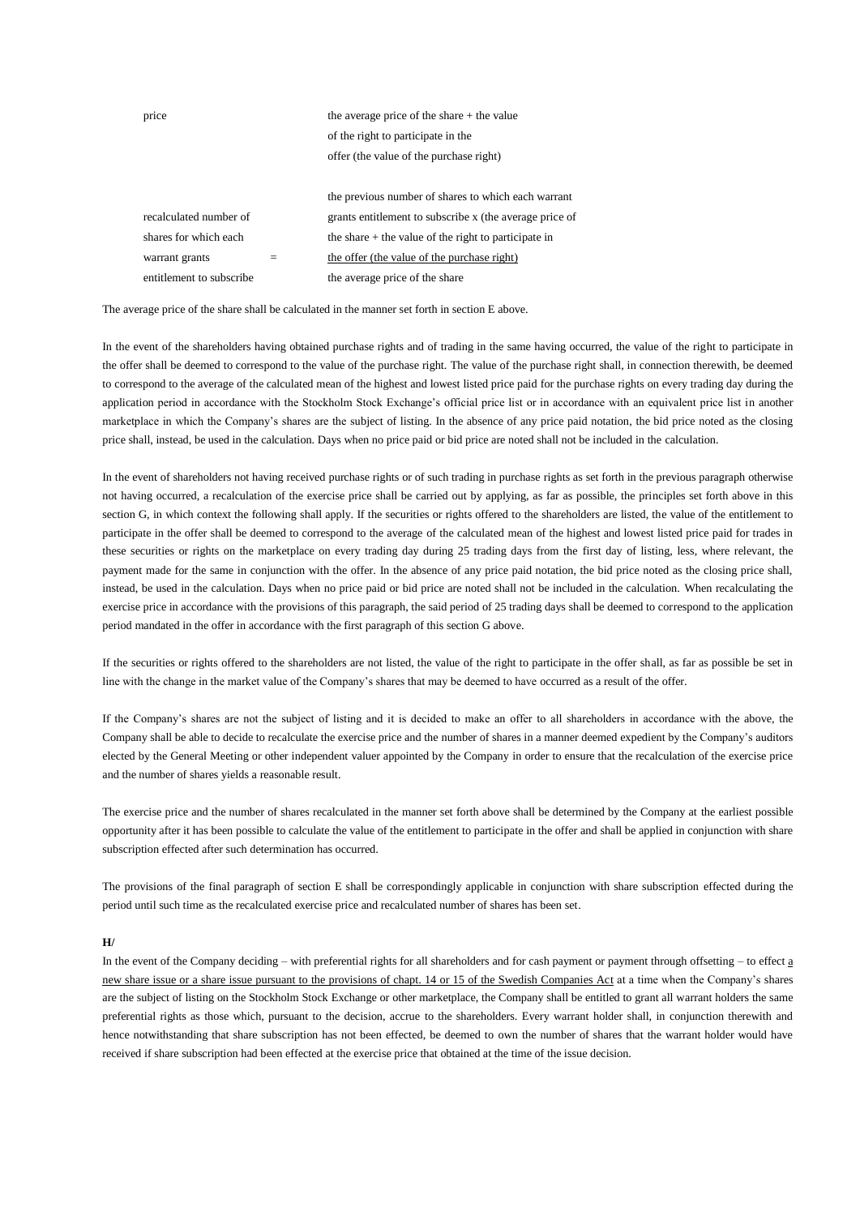| price                    |     | the average price of the share $+$ the value            |
|--------------------------|-----|---------------------------------------------------------|
|                          |     | of the right to participate in the                      |
|                          |     | offer (the value of the purchase right)                 |
|                          |     |                                                         |
|                          |     | the previous number of shares to which each warrant     |
| recalculated number of   |     | grants entitlement to subscribe x (the average price of |
| shares for which each    |     | the share $+$ the value of the right to participate in  |
| warrant grants           | $=$ | the offer (the value of the purchase right)             |
| entitlement to subscribe |     | the average price of the share                          |

The average price of the share shall be calculated in the manner set forth in section E above.

In the event of the shareholders having obtained purchase rights and of trading in the same having occurred, the value of the right to participate in the offer shall be deemed to correspond to the value of the purchase right. The value of the purchase right shall, in connection therewith, be deemed to correspond to the average of the calculated mean of the highest and lowest listed price paid for the purchase rights on every trading day during the application period in accordance with the Stockholm Stock Exchange's official price list or in accordance with an equivalent price list in another marketplace in which the Company's shares are the subject of listing. In the absence of any price paid notation, the bid price noted as the closing price shall, instead, be used in the calculation. Days when no price paid or bid price are noted shall not be included in the calculation.

In the event of shareholders not having received purchase rights or of such trading in purchase rights as set forth in the previous paragraph otherwise not having occurred, a recalculation of the exercise price shall be carried out by applying, as far as possible, the principles set forth above in this section G, in which context the following shall apply. If the securities or rights offered to the shareholders are listed, the value of the entitlement to participate in the offer shall be deemed to correspond to the average of the calculated mean of the highest and lowest listed price paid for trades in these securities or rights on the marketplace on every trading day during 25 trading days from the first day of listing, less, where relevant, the payment made for the same in conjunction with the offer. In the absence of any price paid notation, the bid price noted as the closing price shall, instead, be used in the calculation. Days when no price paid or bid price are noted shall not be included in the calculation. When recalculating the exercise price in accordance with the provisions of this paragraph, the said period of 25 trading days shall be deemed to correspond to the application period mandated in the offer in accordance with the first paragraph of this section G above.

If the securities or rights offered to the shareholders are not listed, the value of the right to participate in the offer shall, as far as possible be set in line with the change in the market value of the Company's shares that may be deemed to have occurred as a result of the offer.

If the Company's shares are not the subject of listing and it is decided to make an offer to all shareholders in accordance with the above, the Company shall be able to decide to recalculate the exercise price and the number of shares in a manner deemed expedient by the Company's auditors elected by the General Meeting or other independent valuer appointed by the Company in order to ensure that the recalculation of the exercise price and the number of shares yields a reasonable result.

The exercise price and the number of shares recalculated in the manner set forth above shall be determined by the Company at the earliest possible opportunity after it has been possible to calculate the value of the entitlement to participate in the offer and shall be applied in conjunction with share subscription effected after such determination has occurred.

The provisions of the final paragraph of section E shall be correspondingly applicable in conjunction with share subscription effected during the period until such time as the recalculated exercise price and recalculated number of shares has been set.

#### **H/**

In the event of the Company deciding – with preferential rights for all shareholders and for cash payment or payment through offsetting – to effect a new share issue or a share issue pursuant to the provisions of chapt. 14 or 15 of the Swedish Companies Act at a time when the Company's shares are the subject of listing on the Stockholm Stock Exchange or other marketplace, the Company shall be entitled to grant all warrant holders the same preferential rights as those which, pursuant to the decision, accrue to the shareholders. Every warrant holder shall, in conjunction therewith and hence notwithstanding that share subscription has not been effected, be deemed to own the number of shares that the warrant holder would have received if share subscription had been effected at the exercise price that obtained at the time of the issue decision.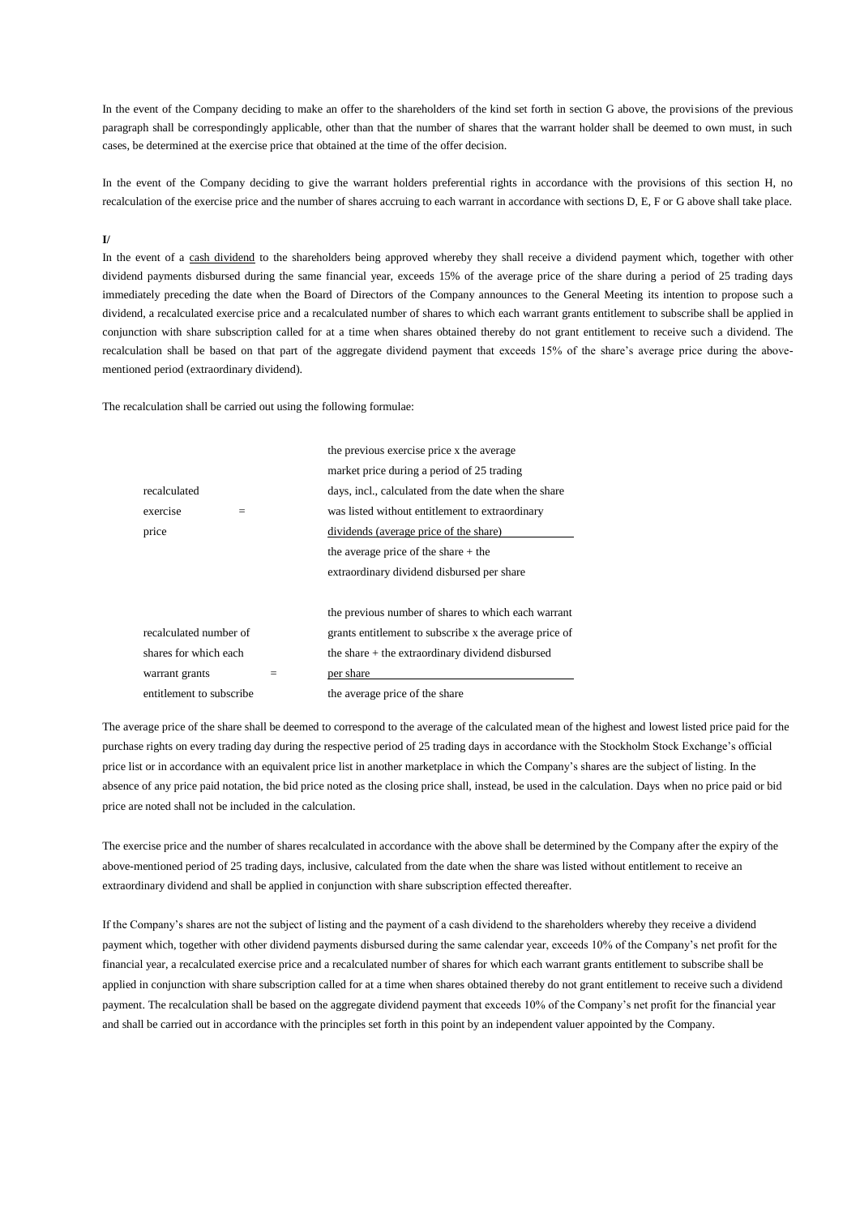In the event of the Company deciding to make an offer to the shareholders of the kind set forth in section G above, the provisions of the previous paragraph shall be correspondingly applicable, other than that the number of shares that the warrant holder shall be deemed to own must, in such cases, be determined at the exercise price that obtained at the time of the offer decision.

In the event of the Company deciding to give the warrant holders preferential rights in accordance with the provisions of this section H, no recalculation of the exercise price and the number of shares accruing to each warrant in accordance with sections D, E, F or G above shall take place.

## **I/**

In the event of a cash dividend to the shareholders being approved whereby they shall receive a dividend payment which, together with other dividend payments disbursed during the same financial year, exceeds 15% of the average price of the share during a period of 25 trading days immediately preceding the date when the Board of Directors of the Company announces to the General Meeting its intention to propose such a dividend, a recalculated exercise price and a recalculated number of shares to which each warrant grants entitlement to subscribe shall be applied in conjunction with share subscription called for at a time when shares obtained thereby do not grant entitlement to receive such a dividend. The recalculation shall be based on that part of the aggregate dividend payment that exceeds 15% of the share's average price during the abovementioned period (extraordinary dividend).

The recalculation shall be carried out using the following formulae:

|                          |     | the previous exercise price x the average              |
|--------------------------|-----|--------------------------------------------------------|
|                          |     | market price during a period of 25 trading             |
| recalculated             |     | days, incl., calculated from the date when the share   |
| exercise                 |     | was listed without entitlement to extraordinary        |
| price                    |     | dividends (average price of the share)                 |
|                          |     | the average price of the share $+$ the                 |
|                          |     | extraordinary dividend disbursed per share             |
|                          |     |                                                        |
|                          |     | the previous number of shares to which each warrant    |
| recalculated number of   |     | grants entitlement to subscribe x the average price of |
| shares for which each    |     | the share $+$ the extraordinary dividend disbursed     |
| warrant grants           | $=$ | per share                                              |
| entitlement to subscribe |     | the average price of the share                         |
|                          |     |                                                        |

The average price of the share shall be deemed to correspond to the average of the calculated mean of the highest and lowest listed price paid for the purchase rights on every trading day during the respective period of 25 trading days in accordance with the Stockholm Stock Exchange's official price list or in accordance with an equivalent price list in another marketplace in which the Company's shares are the subject of listing. In the absence of any price paid notation, the bid price noted as the closing price shall, instead, be used in the calculation. Days when no price paid or bid price are noted shall not be included in the calculation.

The exercise price and the number of shares recalculated in accordance with the above shall be determined by the Company after the expiry of the above-mentioned period of 25 trading days, inclusive, calculated from the date when the share was listed without entitlement to receive an extraordinary dividend and shall be applied in conjunction with share subscription effected thereafter.

If the Company's shares are not the subject of listing and the payment of a cash dividend to the shareholders whereby they receive a dividend payment which, together with other dividend payments disbursed during the same calendar year, exceeds 10% of the Company's net profit for the financial year, a recalculated exercise price and a recalculated number of shares for which each warrant grants entitlement to subscribe shall be applied in conjunction with share subscription called for at a time when shares obtained thereby do not grant entitlement to receive such a dividend payment. The recalculation shall be based on the aggregate dividend payment that exceeds 10% of the Company's net profit for the financial year and shall be carried out in accordance with the principles set forth in this point by an independent valuer appointed by the Company.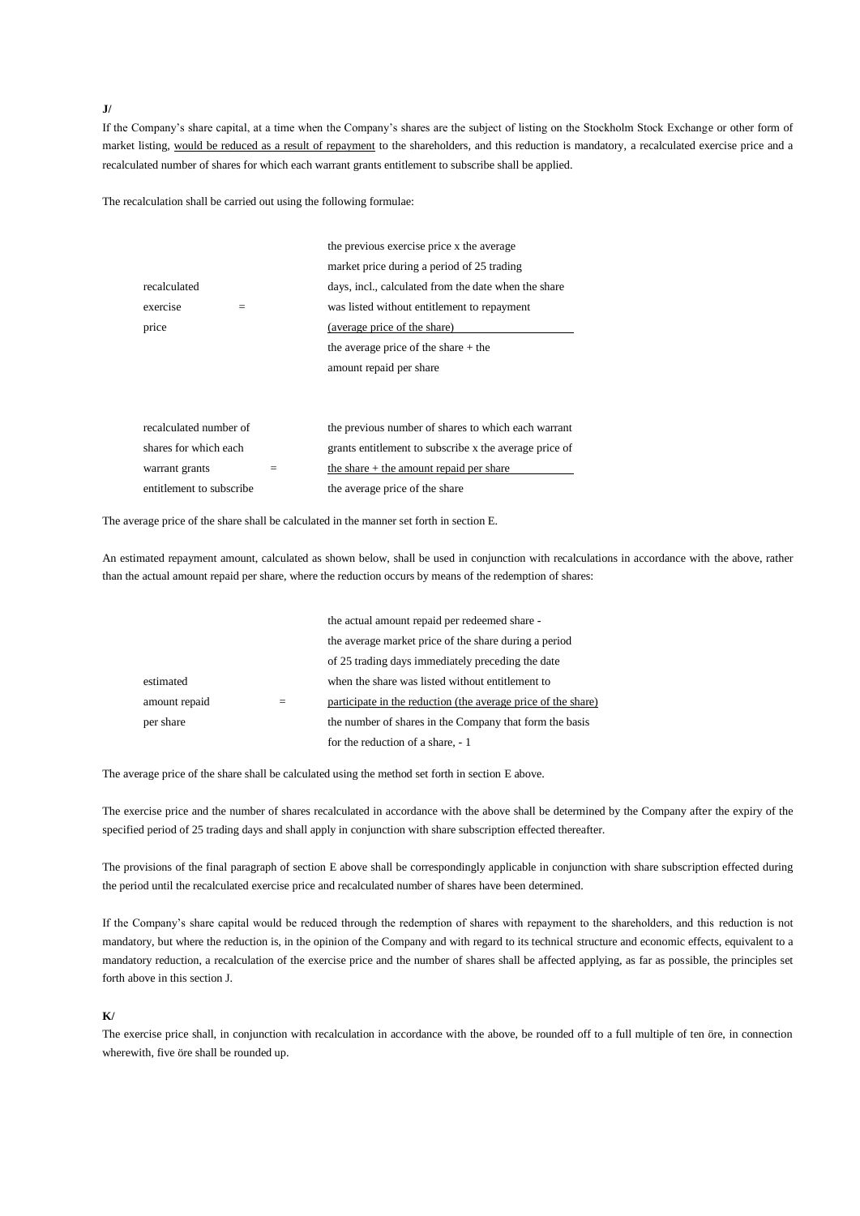**J/**

If the Company's share capital, at a time when the Company's shares are the subject of listing on the Stockholm Stock Exchange or other form of market listing, would be reduced as a result of repayment to the shareholders, and this reduction is mandatory, a recalculated exercise price and a recalculated number of shares for which each warrant grants entitlement to subscribe shall be applied.

The recalculation shall be carried out using the following formulae:

|                          | the previous exercise price x the average              |
|--------------------------|--------------------------------------------------------|
|                          | market price during a period of 25 trading             |
| recalculated             | days, incl., calculated from the date when the share   |
| exercise<br>$=$          | was listed without entitlement to repayment            |
| price                    | (average price of the share)                           |
|                          | the average price of the share $+$ the                 |
|                          | amount repaid per share                                |
|                          |                                                        |
|                          |                                                        |
| recalculated number of   | the previous number of shares to which each warrant    |
| shares for which each    | grants entitlement to subscribe x the average price of |
| warrant grants           | the share $+$ the amount repaid per share              |
| entitlement to subscribe | the average price of the share                         |

The average price of the share shall be calculated in the manner set forth in section E.

An estimated repayment amount, calculated as shown below, shall be used in conjunction with recalculations in accordance with the above, rather than the actual amount repaid per share, where the reduction occurs by means of the redemption of shares:

|               |     | the actual amount repaid per redeemed share -                 |
|---------------|-----|---------------------------------------------------------------|
|               |     | the average market price of the share during a period         |
|               |     | of 25 trading days immediately preceding the date             |
| estimated     |     | when the share was listed without entitlement to              |
| amount repaid | $=$ | participate in the reduction (the average price of the share) |
| per share     |     | the number of shares in the Company that form the basis       |
|               |     | for the reduction of a share, -1                              |

The average price of the share shall be calculated using the method set forth in section E above.

The exercise price and the number of shares recalculated in accordance with the above shall be determined by the Company after the expiry of the specified period of 25 trading days and shall apply in conjunction with share subscription effected thereafter.

The provisions of the final paragraph of section E above shall be correspondingly applicable in conjunction with share subscription effected during the period until the recalculated exercise price and recalculated number of shares have been determined.

If the Company's share capital would be reduced through the redemption of shares with repayment to the shareholders, and this reduction is not mandatory, but where the reduction is, in the opinion of the Company and with regard to its technical structure and economic effects, equivalent to a mandatory reduction, a recalculation of the exercise price and the number of shares shall be affected applying, as far as possible, the principles set forth above in this section J.

## **K/**

The exercise price shall, in conjunction with recalculation in accordance with the above, be rounded off to a full multiple of ten öre, in connection wherewith, five öre shall be rounded up.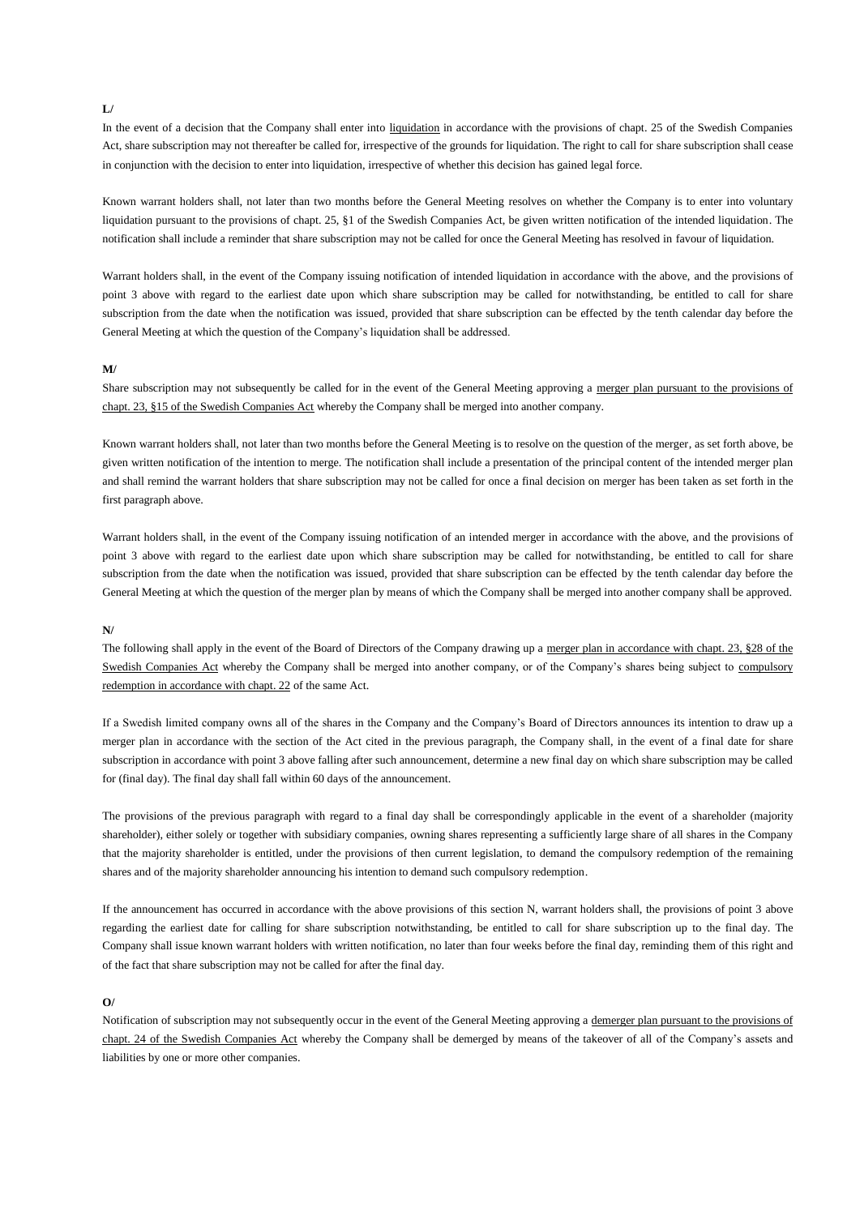#### **L/**

In the event of a decision that the Company shall enter into liquidation in accordance with the provisions of chapt. 25 of the Swedish Companies Act, share subscription may not thereafter be called for, irrespective of the grounds for liquidation. The right to call for share subscription shall cease in conjunction with the decision to enter into liquidation, irrespective of whether this decision has gained legal force.

Known warrant holders shall, not later than two months before the General Meeting resolves on whether the Company is to enter into voluntary liquidation pursuant to the provisions of chapt. 25, §1 of the Swedish Companies Act, be given written notification of the intended liquidation. The notification shall include a reminder that share subscription may not be called for once the General Meeting has resolved in favour of liquidation.

Warrant holders shall, in the event of the Company issuing notification of intended liquidation in accordance with the above, and the provisions of point 3 above with regard to the earliest date upon which share subscription may be called for notwithstanding, be entitled to call for share subscription from the date when the notification was issued, provided that share subscription can be effected by the tenth calendar day before the General Meeting at which the question of the Company's liquidation shall be addressed.

## **M/**

Share subscription may not subsequently be called for in the event of the General Meeting approving a merger plan pursuant to the provisions of chapt. 23, §15 of the Swedish Companies Act whereby the Company shall be merged into another company.

Known warrant holders shall, not later than two months before the General Meeting is to resolve on the question of the merger, as set forth above, be given written notification of the intention to merge. The notification shall include a presentation of the principal content of the intended merger plan and shall remind the warrant holders that share subscription may not be called for once a final decision on merger has been taken as set forth in the first paragraph above.

Warrant holders shall, in the event of the Company issuing notification of an intended merger in accordance with the above, and the provisions of point 3 above with regard to the earliest date upon which share subscription may be called for notwithstanding, be entitled to call for share subscription from the date when the notification was issued, provided that share subscription can be effected by the tenth calendar day before the General Meeting at which the question of the merger plan by means of which the Company shall be merged into another company shall be approved.

## **N/**

The following shall apply in the event of the Board of Directors of the Company drawing up a merger plan in accordance with chapt. 23, §28 of the Swedish Companies Act whereby the Company shall be merged into another company, or of the Company's shares being subject to compulsory redemption in accordance with chapt. 22 of the same Act.

If a Swedish limited company owns all of the shares in the Company and the Company's Board of Directors announces its intention to draw up a merger plan in accordance with the section of the Act cited in the previous paragraph, the Company shall, in the event of a final date for share subscription in accordance with point 3 above falling after such announcement, determine a new final day on which share subscription may be called for (final day). The final day shall fall within 60 days of the announcement.

The provisions of the previous paragraph with regard to a final day shall be correspondingly applicable in the event of a shareholder (majority shareholder), either solely or together with subsidiary companies, owning shares representing a sufficiently large share of all shares in the Company that the majority shareholder is entitled, under the provisions of then current legislation, to demand the compulsory redemption of the remaining shares and of the majority shareholder announcing his intention to demand such compulsory redemption.

If the announcement has occurred in accordance with the above provisions of this section N, warrant holders shall, the provisions of point 3 above regarding the earliest date for calling for share subscription notwithstanding, be entitled to call for share subscription up to the final day. The Company shall issue known warrant holders with written notification, no later than four weeks before the final day, reminding them of this right and of the fact that share subscription may not be called for after the final day.

## **O/**

Notification of subscription may not subsequently occur in the event of the General Meeting approving a demerger plan pursuant to the provisions of chapt. 24 of the Swedish Companies Act whereby the Company shall be demerged by means of the takeover of all of the Company's assets and liabilities by one or more other companies.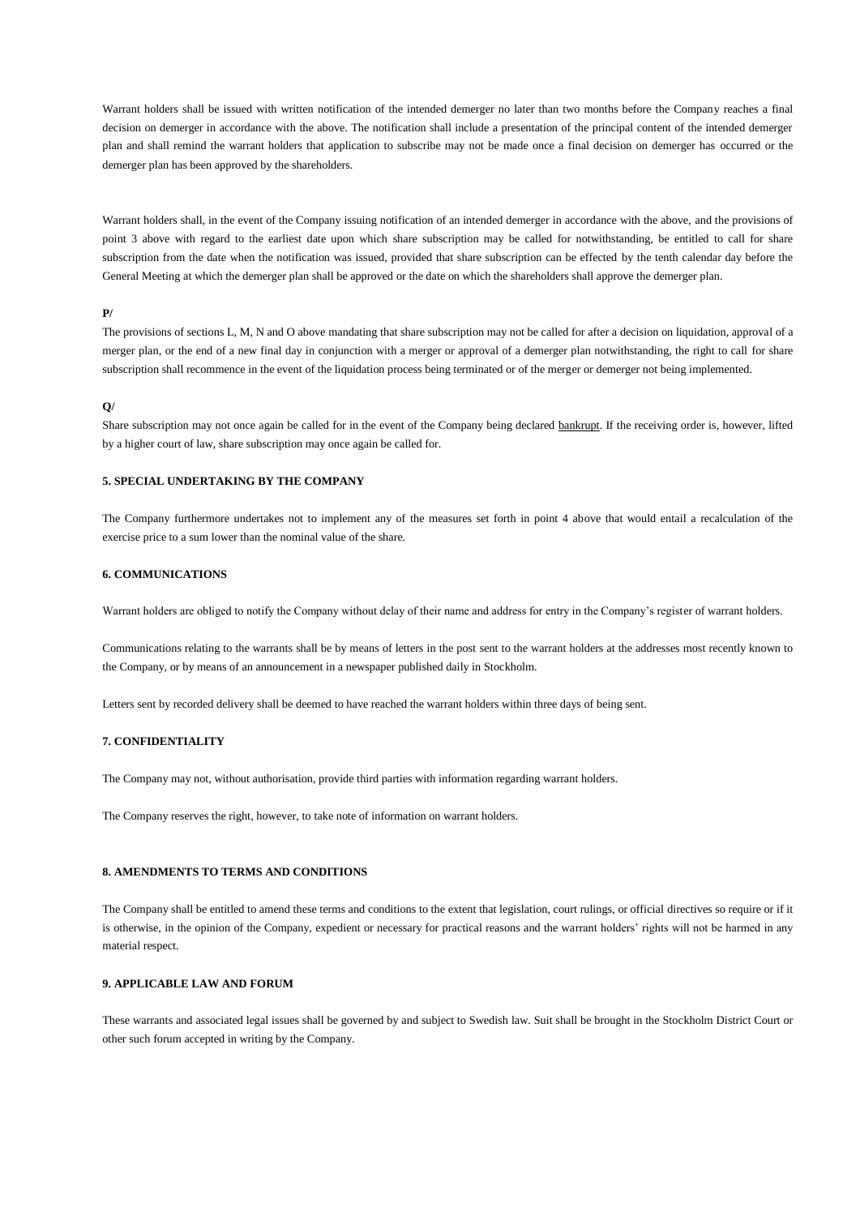Warrant holders shall be issued with written notification of the intended demerger no later than two months before the Company reaches a final decision on demerger in accordance with the above. The notification shall include a presentation of the principal content of the intended demerger plan and shall remind the warrant holders that application to subscribe may not be made once a final decision on demerger has occurred or the demerger plan has been approved by the shareholders.

Warrant holders shall, in the event of the Company issuing notification of an intended demerger in accordance with the above, and the provisions of point 3 above with regard to the earliest date upon which share subscription may be called for notwithstanding, be entitled to call for share subscription from the date when the notification was issued, provided that share subscription can be effected by the tenth calendar day before the General Meeting at which the demerger plan shall be approved or the date on which the shareholders shall approve the demerger plan.

# **P/**

The provisions of sections L, M, N and O above mandating that share subscription may not be called for after a decision on liquidation, approval of a merger plan, or the end of a new final day in conjunction with a merger or approval of a demerger plan notwithstanding, the right to call for share subscription shall recommence in the event of the liquidation process being terminated or of the merger or demerger not being implemented.

## **Q/**

Share subscription may not once again be called for in the event of the Company being declared bankrupt. If the receiving order is, however, lifted by a higher court of law, share subscription may once again be called for.

# **5. SPECIAL UNDERTAKING BY THE COMPANY**

The Company furthermore undertakes not to implement any of the measures set forth in point 4 above that would entail a recalculation of the exercise price to a sum lower than the nominal value of the share.

#### **6. COMMUNICATIONS**

Warrant holders are obliged to notify the Company without delay of their name and address for entry in the Company's register of warrant holders.

Communications relating to the warrants shall be by means of letters in the post sent to the warrant holders at the addresses most recently known to the Company, or by means of an announcement in a newspaper published daily in Stockholm.

Letters sent by recorded delivery shall be deemed to have reached the warrant holders within three days of being sent.

# **7. CONFIDENTIALITY**

The Company may not, without authorisation, provide third parties with information regarding warrant holders.

The Company reserves the right, however, to take note of information on warrant holders.

## **8. AMENDMENTS TO TERMS AND CONDITIONS**

The Company shall be entitled to amend these terms and conditions to the extent that legislation, court rulings, or official directives so require or if it is otherwise, in the opinion of the Company, expedient or necessary for practical reasons and the warrant holders' rights will not be harmed in any material respect.

# **9. APPLICABLE LAW AND FORUM**

These warrants and associated legal issues shall be governed by and subject to Swedish law. Suit shall be brought in the Stockholm District Court or other such forum accepted in writing by the Company.